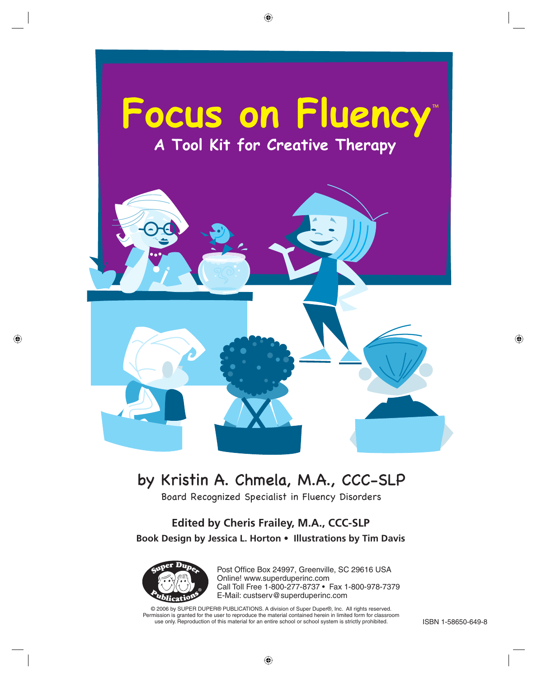

## by Kristin A. Chmela, M.A., CCC-SLP

Board Recognized Specialist in Fluency Disorders

#### **Edited by Cheris Frailey, M.A., CCC-SLP Book Design by Jessica L. Horton • Illustrations by Tim Davis**



Post Office Box 24997, Greenville, SC 29616 USA Online! www.superduperinc.com Call Toll Free 1-800-277-8737 • Fax 1-800-978-7379 E-Mail: custserv@superduperinc.com

© 2006 by SUPER DUPER® PUBLICATIONS. A division of Super Duper®, Inc. All rights reserved. Permission is granted for the user to reproduce the material contained herein in limited form for classroom use only. Reproduction of this material for an entire school or school system is strictly prohibited. **ISBN 1-58650-649-8**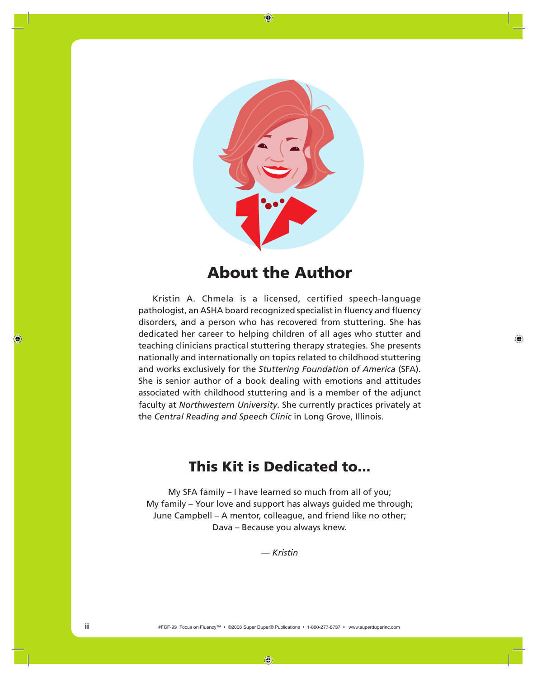

## **About the Author**

Kristin A. Chmela is a licensed, certified speech-language pathologist, an ASHA board recognized specialist in fluency and fluency disorders, and a person who has recovered from stuttering. She has dedicated her career to helping children of all ages who stutter and teaching clinicians practical stuttering therapy strategies. She presents nationally and internationally on topics related to childhood stuttering and works exclusively for the *Stuttering Foundation of America* (SFA). She is senior author of a book dealing with emotions and attitudes associated with childhood stuttering and is a member of the adjunct faculty at *Northwestern University*. She currently practices privately at the *Central Reading and Speech Clinic* in Long Grove, Illinois.

## **This Kit is Dedicated to...**

My SFA family – I have learned so much from all of you; My family – Your love and support has always guided me through; June Campbell – A mentor, colleague, and friend like no other; Dava – Because you always knew.

*— Kristin*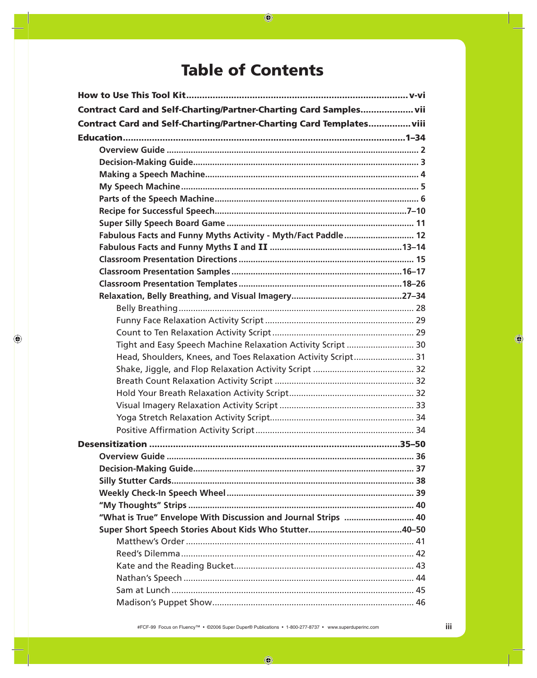## **Table of Contents**

| Contract Card and Self-Charting/Partner-Charting Card Samples vii    |  |
|----------------------------------------------------------------------|--|
| Contract Card and Self-Charting/Partner-Charting Card Templates viii |  |
|                                                                      |  |
|                                                                      |  |
|                                                                      |  |
|                                                                      |  |
|                                                                      |  |
|                                                                      |  |
|                                                                      |  |
|                                                                      |  |
| Fabulous Facts and Funny Myths Activity - Myth/Fact Paddle  12       |  |
|                                                                      |  |
|                                                                      |  |
|                                                                      |  |
|                                                                      |  |
|                                                                      |  |
|                                                                      |  |
|                                                                      |  |
|                                                                      |  |
| Tight and Easy Speech Machine Relaxation Activity Script  30         |  |
| Head, Shoulders, Knees, and Toes Relaxation Activity Script 31       |  |
|                                                                      |  |
|                                                                      |  |
|                                                                      |  |
|                                                                      |  |
|                                                                      |  |
|                                                                      |  |
|                                                                      |  |
|                                                                      |  |
|                                                                      |  |
|                                                                      |  |
|                                                                      |  |
|                                                                      |  |
| "What is True" Envelope With Discussion and Journal Strips  40       |  |
|                                                                      |  |
|                                                                      |  |
|                                                                      |  |
|                                                                      |  |
|                                                                      |  |
|                                                                      |  |
|                                                                      |  |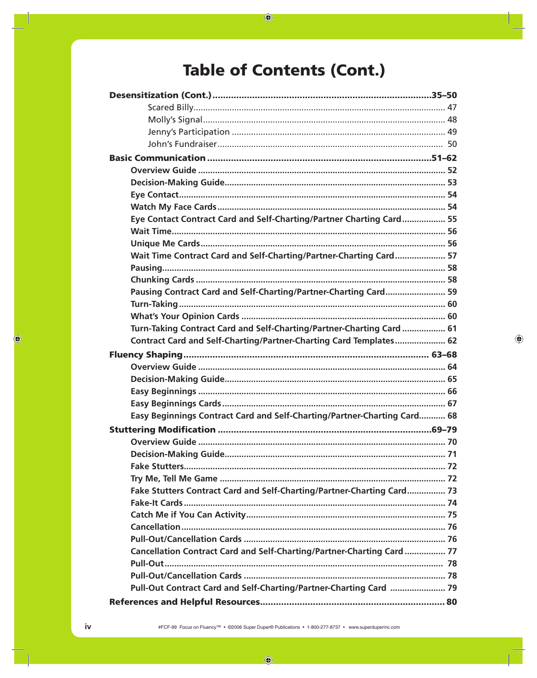# **Table of Contents (Cont.)**

| Eye Contact Contract Card and Self-Charting/Partner Charting Card 55     |  |
|--------------------------------------------------------------------------|--|
|                                                                          |  |
|                                                                          |  |
| Wait Time Contract Card and Self-Charting/Partner-Charting Card 57       |  |
|                                                                          |  |
|                                                                          |  |
| Pausing Contract Card and Self-Charting/Partner-Charting Card 59         |  |
|                                                                          |  |
|                                                                          |  |
| Turn-Taking Contract Card and Self-Charting/Partner-Charting Card  61    |  |
| Contract Card and Self-Charting/Partner-Charting Card Templates 62       |  |
|                                                                          |  |
|                                                                          |  |
|                                                                          |  |
|                                                                          |  |
|                                                                          |  |
| Easy Beginnings Contract Card and Self-Charting/Partner-Charting Card 68 |  |
|                                                                          |  |
|                                                                          |  |
|                                                                          |  |
|                                                                          |  |
|                                                                          |  |
| Fake Stutters Contract Card and Self-Charting/Partner-Charting Card 73   |  |
|                                                                          |  |
|                                                                          |  |
|                                                                          |  |
|                                                                          |  |
| Cancellation Contract Card and Self-Charting/Partner-Charting Card  77   |  |
|                                                                          |  |
|                                                                          |  |
| Pull-Out Contract Card and Self-Charting/Partner-Charting Card  79       |  |
|                                                                          |  |
|                                                                          |  |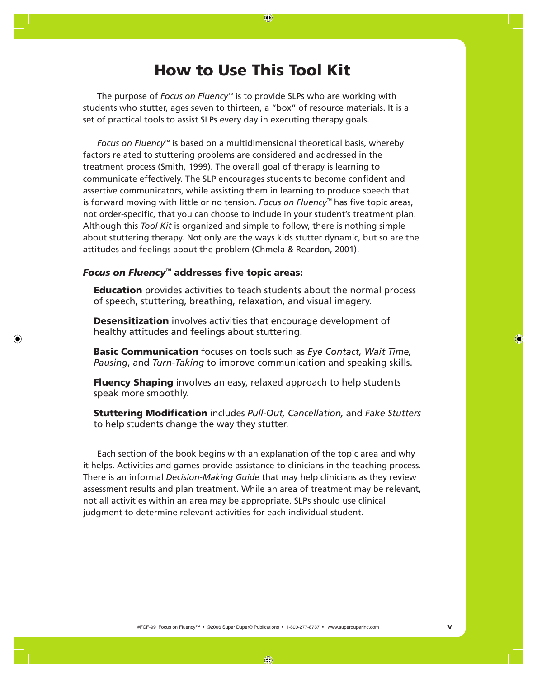## **How to Use This Tool Kit**

The purpose of *Focus on Fluency™* is to provide SLPs who are working with students who stutter, ages seven to thirteen, a "box" of resource materials. It is a set of practical tools to assist SLPs every day in executing therapy goals.

*Focus on Fluency™* is based on a multidimensional theoretical basis, whereby factors related to stuttering problems are considered and addressed in the treatment process (Smith, 1999). The overall goal of therapy is learning to communicate effectively. The SLP encourages students to become confident and assertive communicators, while assisting them in learning to produce speech that is forward moving with little or no tension. *Focus on Fluency*™ has five topic areas, not order-specific, that you can choose to include in your student's treatment plan. Although this *Tool Kit* is organized and simple to follow, there is nothing simple about stuttering therapy. Not only are the ways kids stutter dynamic, but so are the attitudes and feelings about the problem (Chmela & Reardon, 2001).

#### **Focus on Fluency™ addresses five topic areas:**

**Education** provides activities to teach students about the normal process of speech, stuttering, breathing, relaxation, and visual imagery.

**Desensitization** involves activities that encourage development of healthy attitudes and feelings about stuttering.

**Basic Communication** focuses on tools such as *Eye Contact, Wait Time, Pausing*, and *Turn-Taking* to improve communication and speaking skills.

**Fluency Shaping** involves an easy, relaxed approach to help students speak more smoothly.

**Stuttering Modification** includes *Pull-Out, Cancellation, and Fake Stutters* to help students change the way they stutter.

Each section of the book begins with an explanation of the topic area and why it helps. Activities and games provide assistance to clinicians in the teaching process. There is an informal *Decision-Making Guide* that may help clinicians as they review assessment results and plan treatment. While an area of treatment may be relevant, not all activities within an area may be appropriate. SLPs should use clinical judgment to determine relevant activities for each individual student.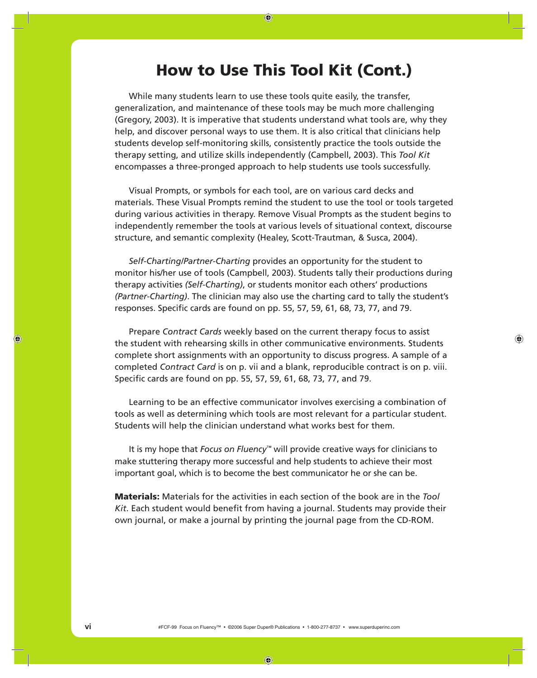## **How to Use This Tool Kit (Cont.)**

While many students learn to use these tools quite easily, the transfer, generalization, and maintenance of these tools may be much more challenging (Gregory, 2003). It is imperative that students understand what tools are, why they help, and discover personal ways to use them. It is also critical that clinicians help students develop self-monitoring skills, consistently practice the tools outside the therapy setting, and utilize skills independently (Campbell, 2003). This *Tool Kit* encompasses a three-pronged approach to help students use tools successfully.

Visual Prompts, or symbols for each tool, are on various card decks and materials. These Visual Prompts remind the student to use the tool or tools targeted during various activities in therapy. Remove Visual Prompts as the student begins to independently remember the tools at various levels of situational context, discourse structure, and semantic complexity (Healey, Scott-Trautman, & Susca, 2004).

*Self-Charting/Partner-Charting* provides an opportunity for the student to monitor his/her use of tools (Campbell, 2003). Students tally their productions during therapy activities *(Self-Charting)*, or students monitor each others' productions *(Partner-Charting)*. The clinician may also use the charting card to tally the student's responses. Specific cards are found on pp. 55, 57, 59, 61, 68, 73, 77, and 79.

Prepare *Contract Cards* weekly based on the current therapy focus to assist the student with rehearsing skills in other communicative environments. Students complete short assignments with an opportunity to discuss progress. A sample of a completed *Contract Card* is on p. vii and a blank, reproducible contract is on p. viii. Specific cards are found on pp. 55, 57, 59, 61, 68, 73, 77, and 79.

Learning to be an effective communicator involves exercising a combination of tools as well as determining which tools are most relevant for a particular student. Students will help the clinician understand what works best for them.

It is my hope that *Focus on Fluency™* will provide creative ways for clinicians to make stuttering therapy more successful and help students to achieve their most important goal, which is to become the best communicator he or she can be.

**Materials:** Materials for the activities in each section of the book are in the *Tool Kit.* Each student would benefit from having a journal. Students may provide their own journal, or make a journal by printing the journal page from the CD-ROM.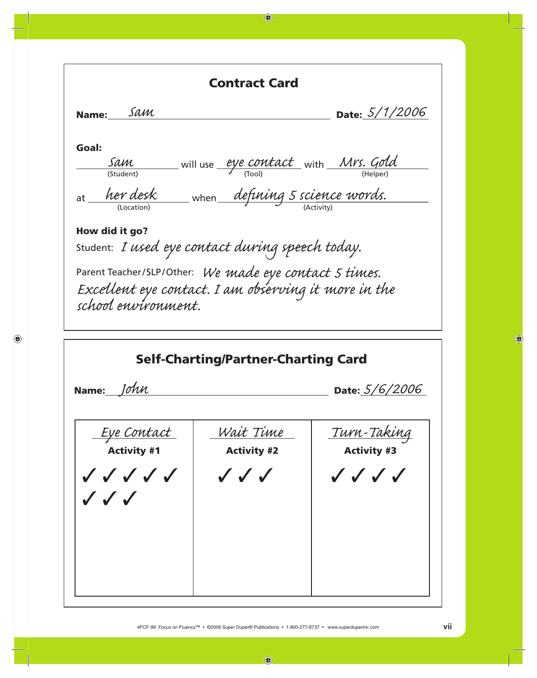|                                                     | <b>Contract Card</b>                                                                                           |                                           |
|-----------------------------------------------------|----------------------------------------------------------------------------------------------------------------|-------------------------------------------|
| Name: Sam                                           |                                                                                                                | Date: 5/1/2006                            |
| Goal:                                               |                                                                                                                |                                           |
| Sam                                                 | will use <u>eye contact</u> with Mrs. Gold                                                                     |                                           |
| (Student)                                           |                                                                                                                |                                           |
| (Location)                                          | at <u>her desk</u> when defining 5 science words.                                                              |                                           |
| How did it go?                                      |                                                                                                                |                                           |
|                                                     | Student: I used eye contact during speech today.                                                               |                                           |
|                                                     |                                                                                                                |                                           |
|                                                     | Parent Teacher/SLP/Other: We made eye contact 5 times.<br>Excellent eye contact. I am observing it more in the |                                           |
| school environment.                                 |                                                                                                                |                                           |
|                                                     |                                                                                                                |                                           |
|                                                     |                                                                                                                |                                           |
|                                                     | <b>Self-Charting/Partner-Charting Card</b>                                                                     | Date: $5/6/2006$                          |
|                                                     |                                                                                                                |                                           |
|                                                     | Wait Time                                                                                                      |                                           |
| <u>Eye Contact</u><br><b>Activity #1</b>            | <b>Activity #2</b>                                                                                             | <u> Turn-Taking</u><br><b>Activity #3</b> |
|                                                     |                                                                                                                |                                           |
| $\checkmark$ $\checkmark$ $\checkmark$ $\checkmark$ | $\checkmark$ $\checkmark$                                                                                      | $\checkmark$ $\checkmark$ $\checkmark$    |
| $\sqrt{\sqrt{}}$                                    |                                                                                                                |                                           |
|                                                     |                                                                                                                |                                           |
|                                                     |                                                                                                                |                                           |
|                                                     |                                                                                                                |                                           |
| Name: John                                          |                                                                                                                |                                           |